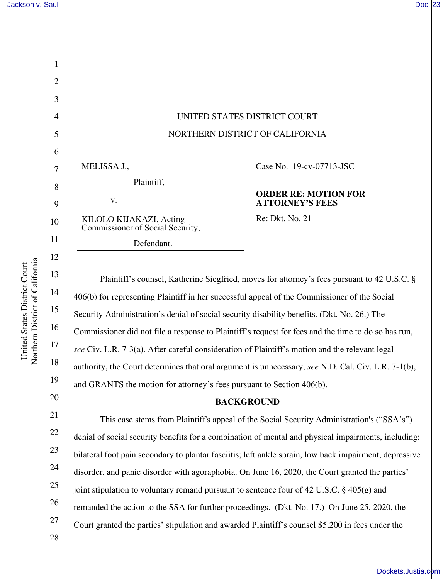| $\mathbf{1}$   |                                                             |
|----------------|-------------------------------------------------------------|
| $\overline{c}$ |                                                             |
| $\overline{3}$ |                                                             |
| $\overline{4}$ | <b>UNITE</b>                                                |
| 5              | <b>NORTHE</b>                                               |
| 6              |                                                             |
| $\overline{7}$ | MELISSA J.,                                                 |
| 8              | Plaintiff,                                                  |
| 9              | v.                                                          |
| 10             | KILOLO KIJAKAZI, Acting<br>Commissioner of Social Security, |
| 11             | Defendant.                                                  |
| 12             |                                                             |

# UNITED STATES DISTRICT COURT NORTHERN DISTRICT OF CALIFORNIA

Case No. 19-cv-07713-JSC

# **ORDER RE: MOTION FOR ATTORNEY'S FEES**

Re: Dkt. No. 21

Plaintiff's counsel, Katherine Siegfried, moves for attorney's fees pursuant to 42 U.S.C. § 406(b) for representing Plaintiff in her successful appeal of the Commissioner of the Social Security Administration's denial of social security disability benefits. (Dkt. No. 26.) The Commissioner did not file a response to Plaintiff's request for fees and the time to do so has run, *see* Civ. L.R. 7-3(a). After careful consideration of Plaintiff's motion and the relevant legal authority, the Court determines that oral argument is unnecessary, *see* N.D. Cal. Civ. L.R. 7-1(b), and GRANTS the motion for attorney's fees pursuant to Section 406(b).

#### **BACKGROUND**

This case stems from Plaintiff's appeal of the Social Security Administration's ("SSA's") denial of social security benefits for a combination of mental and physical impairments, including: bilateral foot pain secondary to plantar fasciitis; left ankle sprain, low back impairment, depressive disorder, and panic disorder with agoraphobia. On June 16, 2020, the Court granted the parties' joint stipulation to voluntary remand pursuant to sentence four of 42 U.S.C. § 405(g) and remanded the action to the SSA for further proceedings. (Dkt. No. 17.) On June 25, 2020, the Court granted the parties' stipulation and awarded Plaintiff's counsel \$5,200 in fees under the

28

13

14

15

16

17

18

19

20

21

22

23

24

25

26

27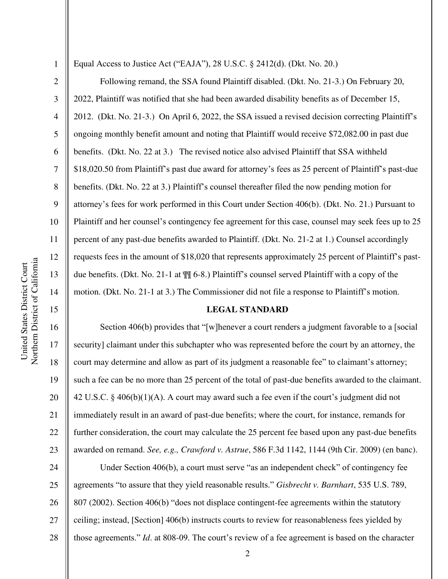1

2

3

4

5

6

7

8

9

10

11

12

13

14

15

16

17

18

19

20

21

22

23

Equal Access to Justice Act ("EAJA"), 28 U.S.C. § 2412(d). (Dkt. No. 20.)

Following remand, the SSA found Plaintiff disabled. (Dkt. No. 21-3.) On February 20, 2022, Plaintiff was notified that she had been awarded disability benefits as of December 15, 2012. (Dkt. No. 21-3.) On April 6, 2022, the SSA issued a revised decision correcting Plaintiff's ongoing monthly benefit amount and noting that Plaintiff would receive \$72,082.00 in past due benefits. (Dkt. No. 22 at 3.) The revised notice also advised Plaintiff that SSA withheld \$18,020.50 from Plaintiff's past due award for attorney's fees as 25 percent of Plaintiff's past-due benefits. (Dkt. No. 22 at 3.) Plaintiff's counsel thereafter filed the now pending motion for attorney's fees for work performed in this Court under Section 406(b). (Dkt. No. 21.) Pursuant to Plaintiff and her counsel's contingency fee agreement for this case, counsel may seek fees up to 25 percent of any past-due benefits awarded to Plaintiff. (Dkt. No. 21-2 at 1.) Counsel accordingly requests fees in the amount of \$18,020 that represents approximately 25 percent of Plaintiff's pastdue benefits. (Dkt. No. 21-1 at ¶¶ 6-8.) Plaintiff's counsel served Plaintiff with a copy of the motion. (Dkt. No. 21-1 at 3.) The Commissioner did not file a response to Plaintiff's motion.

# **LEGAL STANDARD**

Section 406(b) provides that "[w]henever a court renders a judgment favorable to a [social security] claimant under this subchapter who was represented before the court by an attorney, the court may determine and allow as part of its judgment a reasonable fee" to claimant's attorney; such a fee can be no more than 25 percent of the total of past-due benefits awarded to the claimant. 42 U.S.C. § 406(b)(1)(A). A court may award such a fee even if the court's judgment did not immediately result in an award of past-due benefits; where the court, for instance, remands for further consideration, the court may calculate the 25 percent fee based upon any past-due benefits awarded on remand. *See, e.g., Crawford v. Astrue*, 586 F.3d 1142, 1144 (9th Cir. 2009) (en banc).

24 25 26 27 28 Under Section 406(b), a court must serve "as an independent check" of contingency fee agreements "to assure that they yield reasonable results." *Gisbrecht v. Barnhart*, 535 U.S. 789, 807 (2002). Section 406(b) "does not displace contingent-fee agreements within the statutory ceiling; instead, [Section] 406(b) instructs courts to review for reasonableness fees yielded by those agreements." *Id*. at 808-09. The court's review of a fee agreement is based on the character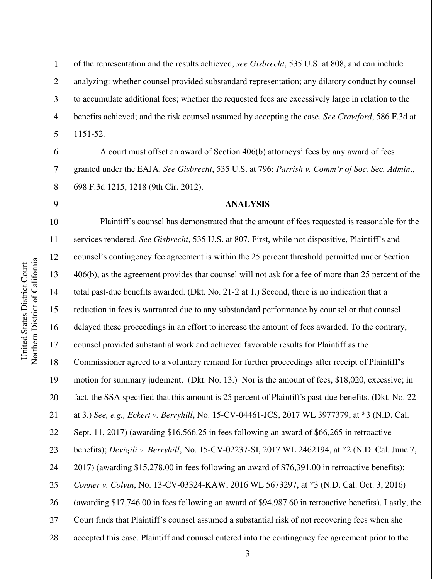1

2

3

4

5

6

7

8

9

of the representation and the results achieved, *see Gisbrecht*, 535 U.S. at 808, and can include analyzing: whether counsel provided substandard representation; any dilatory conduct by counsel to accumulate additional fees; whether the requested fees are excessively large in relation to the benefits achieved; and the risk counsel assumed by accepting the case. *See Crawford*, 586 F.3d at 1151-52.

A court must offset an award of Section 406(b) attorneys' fees by any award of fees granted under the EAJA. *See Gisbrecht*, 535 U.S. at 796; *Parrish v. Comm'r of Soc. Sec. Admin*., 698 F.3d 1215, 1218 (9th Cir. 2012).

#### **ANALYSIS**

10 11 12 13 14 15 16 17 18 19 20 21 22 23 24 25 26 27 28 Plaintiff's counsel has demonstrated that the amount of fees requested is reasonable for the services rendered. *See Gisbrecht*, 535 U.S. at 807. First, while not dispositive, Plaintiff's and counsel's contingency fee agreement is within the 25 percent threshold permitted under Section 406(b), as the agreement provides that counsel will not ask for a fee of more than 25 percent of the total past-due benefits awarded. (Dkt. No. 21-2 at 1.) Second, there is no indication that a reduction in fees is warranted due to any substandard performance by counsel or that counsel delayed these proceedings in an effort to increase the amount of fees awarded. To the contrary, counsel provided substantial work and achieved favorable results for Plaintiff as the Commissioner agreed to a voluntary remand for further proceedings after receipt of Plaintiff's motion for summary judgment. (Dkt. No. 13.) Nor is the amount of fees, \$18,020, excessive; in fact, the SSA specified that this amount is 25 percent of Plaintiff's past-due benefits. (Dkt. No. 22 at 3.) *See, e.g., Eckert v. Berryhill*, No. 15-CV-04461-JCS, 2017 WL 3977379, at \*3 (N.D. Cal. Sept. 11, 2017) (awarding \$16,566.25 in fees following an award of \$66,265 in retroactive benefits); *Devigili v. Berryhill*, No. 15-CV-02237-SI, 2017 WL 2462194, at \*2 (N.D. Cal. June 7, 2017) (awarding \$15,278.00 in fees following an award of \$76,391.00 in retroactive benefits); *Conner v. Colvin*, No. 13-CV-03324-KAW, 2016 WL 5673297, at \*3 (N.D. Cal. Oct. 3, 2016) (awarding \$17,746.00 in fees following an award of \$94,987.60 in retroactive benefits). Lastly, the Court finds that Plaintiff's counsel assumed a substantial risk of not recovering fees when she accepted this case. Plaintiff and counsel entered into the contingency fee agreement prior to the